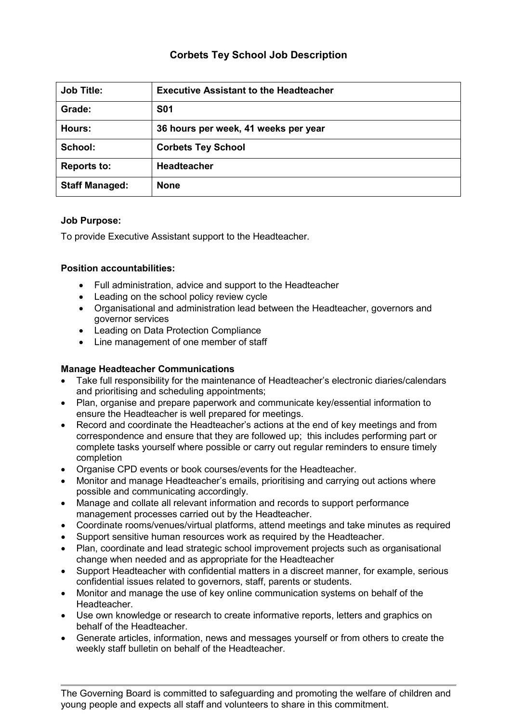# **Corbets Tey School Job Description**

| <b>Job Title:</b>     | <b>Executive Assistant to the Headteacher</b> |
|-----------------------|-----------------------------------------------|
| Grade:                | <b>S01</b>                                    |
| Hours:                | 36 hours per week, 41 weeks per year          |
| School:               | <b>Corbets Tey School</b>                     |
| <b>Reports to:</b>    | <b>Headteacher</b>                            |
| <b>Staff Managed:</b> | <b>None</b>                                   |

#### **Job Purpose:**

To provide Executive Assistant support to the Headteacher.

#### **Position accountabilities:**

- Full administration, advice and support to the Headteacher
- Leading on the school policy review cycle
- Organisational and administration lead between the Headteacher, governors and governor services
- Leading on Data Protection Compliance
- Line management of one member of staff

## **Manage Headteacher Communications**

- Take full responsibility for the maintenance of Headteacher's electronic diaries/calendars and prioritising and scheduling appointments;
- Plan, organise and prepare paperwork and communicate key/essential information to ensure the Headteacher is well prepared for meetings.
- Record and coordinate the Headteacher's actions at the end of key meetings and from correspondence and ensure that they are followed up; this includes performing part or complete tasks yourself where possible or carry out regular reminders to ensure timely completion
- Organise CPD events or book courses/events for the Headteacher.
- Monitor and manage Headteacher's emails, prioritising and carrying out actions where possible and communicating accordingly.
- Manage and collate all relevant information and records to support performance management processes carried out by the Headteacher.
- Coordinate rooms/venues/virtual platforms, attend meetings and take minutes as required
- Support sensitive human resources work as required by the Headteacher.
- Plan, coordinate and lead strategic school improvement projects such as organisational change when needed and as appropriate for the Headteacher
- Support Headteacher with confidential matters in a discreet manner, for example, serious confidential issues related to governors, staff, parents or students.
- Monitor and manage the use of key online communication systems on behalf of the Headteacher.
- Use own knowledge or research to create informative reports, letters and graphics on behalf of the Headteacher.
- Generate articles, information, news and messages yourself or from others to create the weekly staff bulletin on behalf of the Headteacher.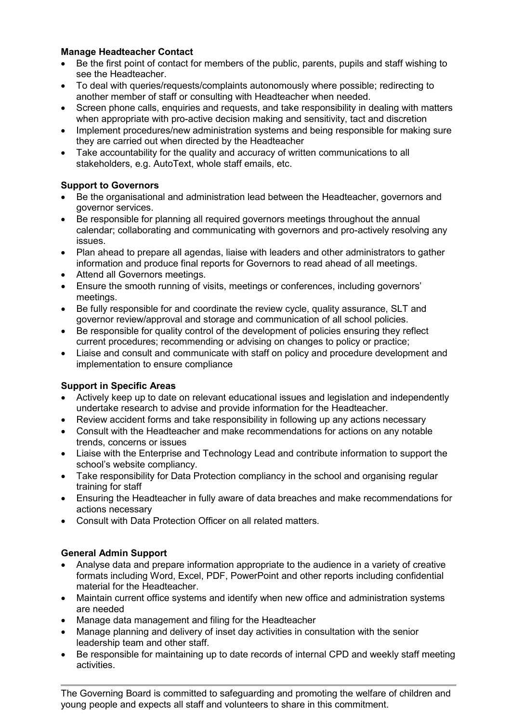### **Manage Headteacher Contact**

- Be the first point of contact for members of the public, parents, pupils and staff wishing to see the Headteacher.
- To deal with queries/requests/complaints autonomously where possible; redirecting to another member of staff or consulting with Headteacher when needed.
- Screen phone calls, enquiries and requests, and take responsibility in dealing with matters when appropriate with pro-active decision making and sensitivity, tact and discretion
- Implement procedures/new administration systems and being responsible for making sure they are carried out when directed by the Headteacher
- Take accountability for the quality and accuracy of written communications to all stakeholders, e.g. AutoText, whole staff emails, etc.

#### **Support to Governors**

- Be the organisational and administration lead between the Headteacher, governors and governor services.
- Be responsible for planning all required governors meetings throughout the annual calendar; collaborating and communicating with governors and pro-actively resolving any issues.
- Plan ahead to prepare all agendas, liaise with leaders and other administrators to gather information and produce final reports for Governors to read ahead of all meetings.
- Attend all Governors meetings.
- Ensure the smooth running of visits, meetings or conferences, including governors' meetings.
- Be fully responsible for and coordinate the review cycle, quality assurance, SLT and governor review/approval and storage and communication of all school policies.
- Be responsible for quality control of the development of policies ensuring they reflect current procedures; recommending or advising on changes to policy or practice;
- Liaise and consult and communicate with staff on policy and procedure development and implementation to ensure compliance

## **Support in Specific Areas**

- Actively keep up to date on relevant educational issues and legislation and independently undertake research to advise and provide information for the Headteacher.
- Review accident forms and take responsibility in following up any actions necessary
- Consult with the Headteacher and make recommendations for actions on any notable trends, concerns or issues
- Liaise with the Enterprise and Technology Lead and contribute information to support the school's website compliancy.
- Take responsibility for Data Protection compliancy in the school and organising regular training for staff
- Ensuring the Headteacher in fully aware of data breaches and make recommendations for actions necessary
- Consult with Data Protection Officer on all related matters.

## **General Admin Support**

- Analyse data and prepare information appropriate to the audience in a variety of creative formats including Word, Excel, PDF, PowerPoint and other reports including confidential material for the Headteacher.
- Maintain current office systems and identify when new office and administration systems are needed
- Manage data management and filing for the Headteacher
- Manage planning and delivery of inset day activities in consultation with the senior leadership team and other staff.
- Be responsible for maintaining up to date records of internal CPD and weekly staff meeting activities.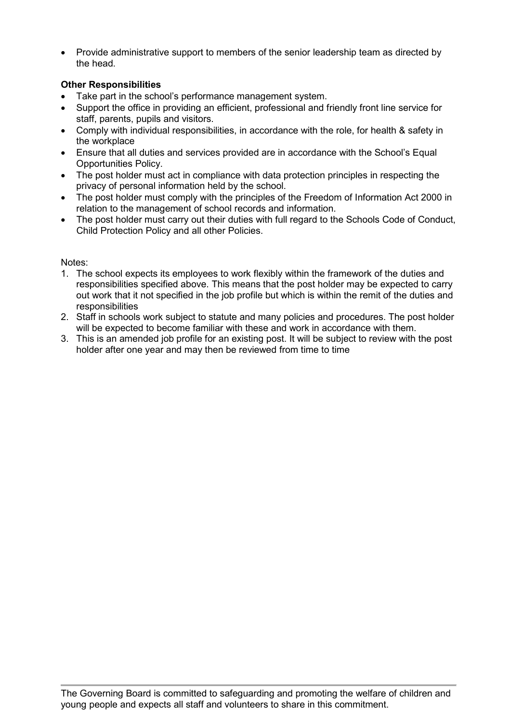• Provide administrative support to members of the senior leadership team as directed by the head.

## **Other Responsibilities**

- Take part in the school's performance management system.
- Support the office in providing an efficient, professional and friendly front line service for staff, parents, pupils and visitors.
- Comply with individual responsibilities, in accordance with the role, for health & safety in the workplace
- Ensure that all duties and services provided are in accordance with the School's Equal Opportunities Policy.
- The post holder must act in compliance with data protection principles in respecting the privacy of personal information held by the school.
- The post holder must comply with the principles of the Freedom of Information Act 2000 in relation to the management of school records and information.
- The post holder must carry out their duties with full regard to the Schools Code of Conduct, Child Protection Policy and all other Policies.

Notes:

- 1. The school expects its employees to work flexibly within the framework of the duties and responsibilities specified above. This means that the post holder may be expected to carry out work that it not specified in the job profile but which is within the remit of the duties and responsibilities
- 2. Staff in schools work subject to statute and many policies and procedures. The post holder will be expected to become familiar with these and work in accordance with them.
- 3. This is an amended job profile for an existing post. It will be subject to review with the post holder after one year and may then be reviewed from time to time